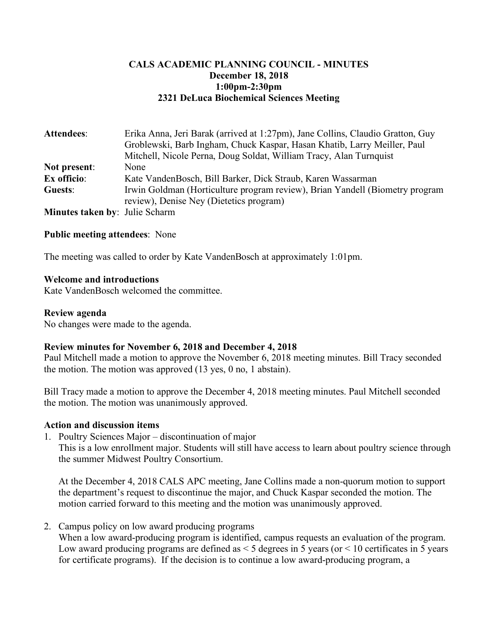## **CALS ACADEMIC PLANNING COUNCIL - MINUTES December 18, 2018 1:00pm-2:30pm 2321 DeLuca Biochemical Sciences Meeting**

| Attendees:                            | Erika Anna, Jeri Barak (arrived at 1:27pm), Jane Collins, Claudio Gratton, Guy<br>Groblewski, Barb Ingham, Chuck Kaspar, Hasan Khatib, Larry Meiller, Paul<br>Mitchell, Nicole Perna, Doug Soldat, William Tracy, Alan Turnquist |
|---------------------------------------|----------------------------------------------------------------------------------------------------------------------------------------------------------------------------------------------------------------------------------|
| Not present:                          | None                                                                                                                                                                                                                             |
| Ex officio:                           | Kate VandenBosch, Bill Barker, Dick Straub, Karen Wassarman                                                                                                                                                                      |
| Guests:                               | Irwin Goldman (Horticulture program review), Brian Yandell (Biometry program<br>review), Denise Ney (Dietetics program)                                                                                                          |
| <b>Minutes taken by: Julie Scharm</b> |                                                                                                                                                                                                                                  |

### **Public meeting attendees**: None

The meeting was called to order by Kate VandenBosch at approximately 1:01pm.

### **Welcome and introductions**

Kate VandenBosch welcomed the committee.

### **Review agenda**

No changes were made to the agenda.

### **Review minutes for November 6, 2018 and December 4, 2018**

Paul Mitchell made a motion to approve the November 6, 2018 meeting minutes. Bill Tracy seconded the motion. The motion was approved (13 yes, 0 no, 1 abstain).

Bill Tracy made a motion to approve the December 4, 2018 meeting minutes. Paul Mitchell seconded the motion. The motion was unanimously approved.

### **Action and discussion items**

1. Poultry Sciences Major – discontinuation of major

This is a low enrollment major. Students will still have access to learn about poultry science through the summer Midwest Poultry Consortium.

At the December 4, 2018 CALS APC meeting, Jane Collins made a non-quorum motion to support the department's request to discontinue the major, and Chuck Kaspar seconded the motion. The motion carried forward to this meeting and the motion was unanimously approved.

2. Campus policy on low award producing programs

When a low award-producing program is identified, campus requests an evaluation of the program. Low award producing programs are defined as  $\leq$  5 degrees in 5 years (or  $\leq$  10 certificates in 5 years for certificate programs). If the decision is to continue a low award-producing program, a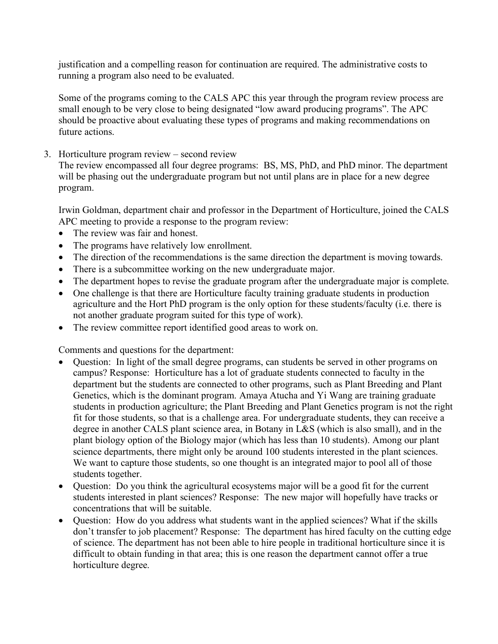justification and a compelling reason for continuation are required. The administrative costs to running a program also need to be evaluated.

Some of the programs coming to the CALS APC this year through the program review process are small enough to be very close to being designated "low award producing programs". The APC should be proactive about evaluating these types of programs and making recommendations on future actions.

3. Horticulture program review – second review

The review encompassed all four degree programs: BS, MS, PhD, and PhD minor. The department will be phasing out the undergraduate program but not until plans are in place for a new degree program.

Irwin Goldman, department chair and professor in the Department of Horticulture, joined the CALS APC meeting to provide a response to the program review:

- The review was fair and honest.
- The programs have relatively low enrollment.
- The direction of the recommendations is the same direction the department is moving towards.
- There is a subcommittee working on the new undergraduate major.
- The department hopes to revise the graduate program after the undergraduate major is complete.
- One challenge is that there are Horticulture faculty training graduate students in production agriculture and the Hort PhD program is the only option for these students/faculty (i.e. there is not another graduate program suited for this type of work).
- The review committee report identified good areas to work on.

Comments and questions for the department:

- Question: In light of the small degree programs, can students be served in other programs on campus? Response: Horticulture has a lot of graduate students connected to faculty in the department but the students are connected to other programs, such as Plant Breeding and Plant Genetics, which is the dominant program. Amaya Atucha and Yi Wang are training graduate students in production agriculture; the Plant Breeding and Plant Genetics program is not the right fit for those students, so that is a challenge area. For undergraduate students, they can receive a degree in another CALS plant science area, in Botany in L&S (which is also small), and in the plant biology option of the Biology major (which has less than 10 students). Among our plant science departments, there might only be around 100 students interested in the plant sciences. We want to capture those students, so one thought is an integrated major to pool all of those students together.
- Question: Do you think the agricultural ecosystems major will be a good fit for the current students interested in plant sciences? Response: The new major will hopefully have tracks or concentrations that will be suitable.
- Question: How do you address what students want in the applied sciences? What if the skills don't transfer to job placement? Response: The department has hired faculty on the cutting edge of science. The department has not been able to hire people in traditional horticulture since it is difficult to obtain funding in that area; this is one reason the department cannot offer a true horticulture degree.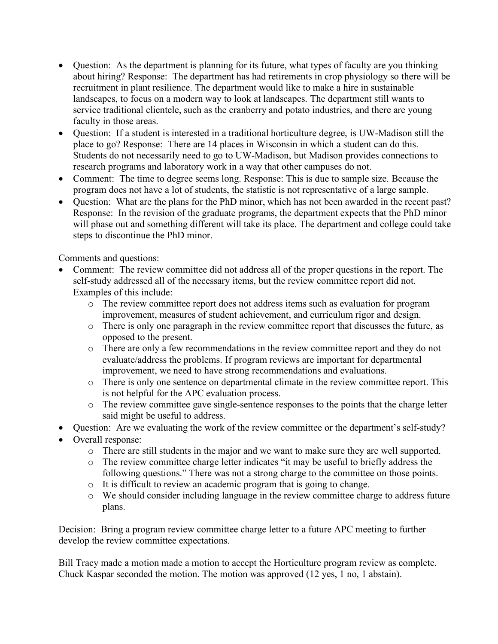- Question: As the department is planning for its future, what types of faculty are you thinking about hiring? Response: The department has had retirements in crop physiology so there will be recruitment in plant resilience. The department would like to make a hire in sustainable landscapes, to focus on a modern way to look at landscapes. The department still wants to service traditional clientele, such as the cranberry and potato industries, and there are young faculty in those areas.
- Question: If a student is interested in a traditional horticulture degree, is UW-Madison still the place to go? Response: There are 14 places in Wisconsin in which a student can do this. Students do not necessarily need to go to UW-Madison, but Madison provides connections to research programs and laboratory work in a way that other campuses do not.
- Comment: The time to degree seems long. Response: This is due to sample size. Because the program does not have a lot of students, the statistic is not representative of a large sample.
- Question: What are the plans for the PhD minor, which has not been awarded in the recent past? Response: In the revision of the graduate programs, the department expects that the PhD minor will phase out and something different will take its place. The department and college could take steps to discontinue the PhD minor.

Comments and questions:

- Comment: The review committee did not address all of the proper questions in the report. The self-study addressed all of the necessary items, but the review committee report did not. Examples of this include:
	- o The review committee report does not address items such as evaluation for program improvement, measures of student achievement, and curriculum rigor and design.
	- o There is only one paragraph in the review committee report that discusses the future, as opposed to the present.
	- o There are only a few recommendations in the review committee report and they do not evaluate/address the problems. If program reviews are important for departmental improvement, we need to have strong recommendations and evaluations.
	- o There is only one sentence on departmental climate in the review committee report. This is not helpful for the APC evaluation process.
	- o The review committee gave single-sentence responses to the points that the charge letter said might be useful to address.
- Question: Are we evaluating the work of the review committee or the department's self-study?
- Overall response:
	- o There are still students in the major and we want to make sure they are well supported.
	- o The review committee charge letter indicates "it may be useful to briefly address the following questions." There was not a strong charge to the committee on those points.
	- o It is difficult to review an academic program that is going to change.
	- o We should consider including language in the review committee charge to address future plans.

Decision: Bring a program review committee charge letter to a future APC meeting to further develop the review committee expectations.

Bill Tracy made a motion made a motion to accept the Horticulture program review as complete. Chuck Kaspar seconded the motion. The motion was approved (12 yes, 1 no, 1 abstain).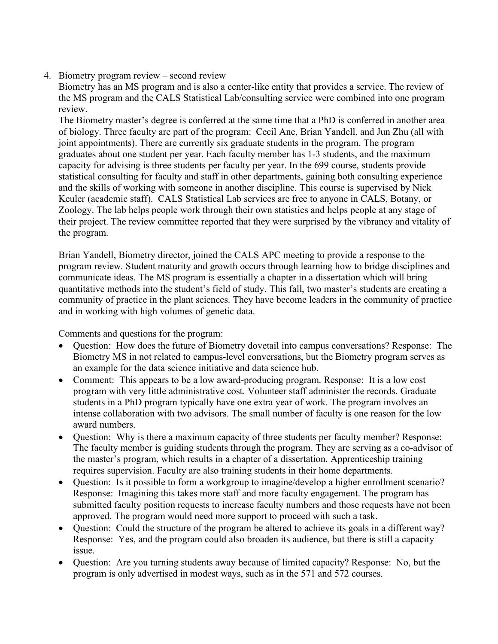## 4. Biometry program review – second review

Biometry has an MS program and is also a center-like entity that provides a service. The review of the MS program and the CALS Statistical Lab/consulting service were combined into one program review.

The Biometry master's degree is conferred at the same time that a PhD is conferred in another area of biology. Three faculty are part of the program: Cecil Ane, Brian Yandell, and Jun Zhu (all with joint appointments). There are currently six graduate students in the program. The program graduates about one student per year. Each faculty member has 1-3 students, and the maximum capacity for advising is three students per faculty per year. In the 699 course, students provide statistical consulting for faculty and staff in other departments, gaining both consulting experience and the skills of working with someone in another discipline. This course is supervised by Nick Keuler (academic staff). CALS Statistical Lab services are free to anyone in CALS, Botany, or Zoology. The lab helps people work through their own statistics and helps people at any stage of their project. The review committee reported that they were surprised by the vibrancy and vitality of the program.

Brian Yandell, Biometry director, joined the CALS APC meeting to provide a response to the program review. Student maturity and growth occurs through learning how to bridge disciplines and communicate ideas. The MS program is essentially a chapter in a dissertation which will bring quantitative methods into the student's field of study. This fall, two master's students are creating a community of practice in the plant sciences. They have become leaders in the community of practice and in working with high volumes of genetic data.

Comments and questions for the program:

- Question: How does the future of Biometry dovetail into campus conversations? Response: The Biometry MS in not related to campus-level conversations, but the Biometry program serves as an example for the data science initiative and data science hub.
- Comment: This appears to be a low award-producing program. Response: It is a low cost program with very little administrative cost. Volunteer staff administer the records. Graduate students in a PhD program typically have one extra year of work. The program involves an intense collaboration with two advisors. The small number of faculty is one reason for the low award numbers.
- Question: Why is there a maximum capacity of three students per faculty member? Response: The faculty member is guiding students through the program. They are serving as a co-advisor of the master's program, which results in a chapter of a dissertation. Apprenticeship training requires supervision. Faculty are also training students in their home departments.
- Question: Is it possible to form a workgroup to imagine/develop a higher enrollment scenario? Response: Imagining this takes more staff and more faculty engagement. The program has submitted faculty position requests to increase faculty numbers and those requests have not been approved. The program would need more support to proceed with such a task.
- Question: Could the structure of the program be altered to achieve its goals in a different way? Response: Yes, and the program could also broaden its audience, but there is still a capacity issue.
- Question: Are you turning students away because of limited capacity? Response: No, but the program is only advertised in modest ways, such as in the 571 and 572 courses.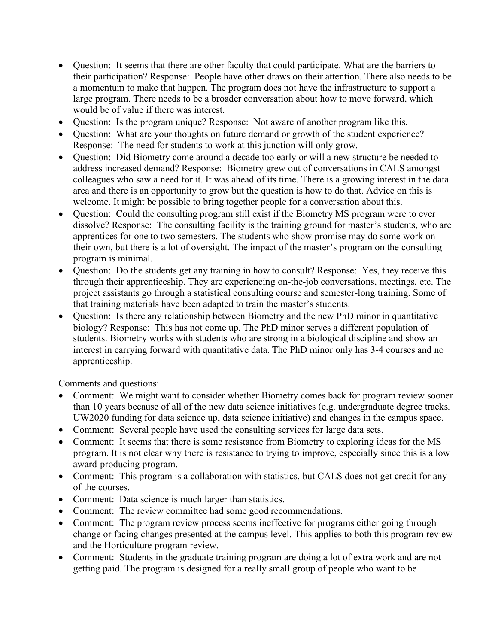- Question: It seems that there are other faculty that could participate. What are the barriers to their participation? Response: People have other draws on their attention. There also needs to be a momentum to make that happen. The program does not have the infrastructure to support a large program. There needs to be a broader conversation about how to move forward, which would be of value if there was interest.
- Question: Is the program unique? Response: Not aware of another program like this.
- Question: What are your thoughts on future demand or growth of the student experience? Response: The need for students to work at this junction will only grow.
- Question: Did Biometry come around a decade too early or will a new structure be needed to address increased demand? Response: Biometry grew out of conversations in CALS amongst colleagues who saw a need for it. It was ahead of its time. There is a growing interest in the data area and there is an opportunity to grow but the question is how to do that. Advice on this is welcome. It might be possible to bring together people for a conversation about this.
- Question: Could the consulting program still exist if the Biometry MS program were to ever dissolve? Response: The consulting facility is the training ground for master's students, who are apprentices for one to two semesters. The students who show promise may do some work on their own, but there is a lot of oversight. The impact of the master's program on the consulting program is minimal.
- Question: Do the students get any training in how to consult? Response: Yes, they receive this through their apprenticeship. They are experiencing on-the-job conversations, meetings, etc. The project assistants go through a statistical consulting course and semester-long training. Some of that training materials have been adapted to train the master's students.
- Question: Is there any relationship between Biometry and the new PhD minor in quantitative biology? Response: This has not come up. The PhD minor serves a different population of students. Biometry works with students who are strong in a biological discipline and show an interest in carrying forward with quantitative data. The PhD minor only has 3-4 courses and no apprenticeship.

Comments and questions:

- Comment: We might want to consider whether Biometry comes back for program review sooner than 10 years because of all of the new data science initiatives (e.g. undergraduate degree tracks, UW2020 funding for data science up, data science initiative) and changes in the campus space.
- Comment: Several people have used the consulting services for large data sets.
- Comment: It seems that there is some resistance from Biometry to exploring ideas for the MS program. It is not clear why there is resistance to trying to improve, especially since this is a low award-producing program.
- Comment: This program is a collaboration with statistics, but CALS does not get credit for any of the courses.
- Comment: Data science is much larger than statistics.
- Comment: The review committee had some good recommendations.
- Comment: The program review process seems ineffective for programs either going through change or facing changes presented at the campus level. This applies to both this program review and the Horticulture program review.
- Comment: Students in the graduate training program are doing a lot of extra work and are not getting paid. The program is designed for a really small group of people who want to be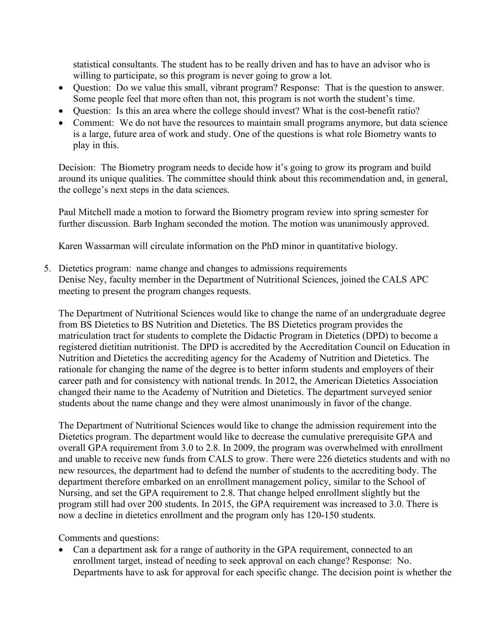statistical consultants. The student has to be really driven and has to have an advisor who is willing to participate, so this program is never going to grow a lot.

- Question: Do we value this small, vibrant program? Response: That is the question to answer. Some people feel that more often than not, this program is not worth the student's time.
- Question: Is this an area where the college should invest? What is the cost-benefit ratio?
- Comment: We do not have the resources to maintain small programs anymore, but data science is a large, future area of work and study. One of the questions is what role Biometry wants to play in this.

Decision: The Biometry program needs to decide how it's going to grow its program and build around its unique qualities. The committee should think about this recommendation and, in general, the college's next steps in the data sciences.

Paul Mitchell made a motion to forward the Biometry program review into spring semester for further discussion. Barb Ingham seconded the motion. The motion was unanimously approved.

Karen Wassarman will circulate information on the PhD minor in quantitative biology.

5. Dietetics program: name change and changes to admissions requirements Denise Ney, faculty member in the Department of Nutritional Sciences, joined the CALS APC meeting to present the program changes requests.

The Department of Nutritional Sciences would like to change the name of an undergraduate degree from BS Dietetics to BS Nutrition and Dietetics. The BS Dietetics program provides the matriculation tract for students to complete the Didactic Program in Dietetics (DPD) to become a registered dietitian nutritionist. The DPD is accredited by the Accreditation Council on Education in Nutrition and Dietetics the accrediting agency for the Academy of Nutrition and Dietetics. The rationale for changing the name of the degree is to better inform students and employers of their career path and for consistency with national trends. In 2012, the American Dietetics Association changed their name to the Academy of Nutrition and Dietetics. The department surveyed senior students about the name change and they were almost unanimously in favor of the change.

The Department of Nutritional Sciences would like to change the admission requirement into the Dietetics program. The department would like to decrease the cumulative prerequisite GPA and overall GPA requirement from 3.0 to 2.8. In 2009, the program was overwhelmed with enrollment and unable to receive new funds from CALS to grow. There were 226 dietetics students and with no new resources, the department had to defend the number of students to the accrediting body. The department therefore embarked on an enrollment management policy, similar to the School of Nursing, and set the GPA requirement to 2.8. That change helped enrollment slightly but the program still had over 200 students. In 2015, the GPA requirement was increased to 3.0. There is now a decline in dietetics enrollment and the program only has 120-150 students.

Comments and questions:

• Can a department ask for a range of authority in the GPA requirement, connected to an enrollment target, instead of needing to seek approval on each change? Response: No. Departments have to ask for approval for each specific change. The decision point is whether the